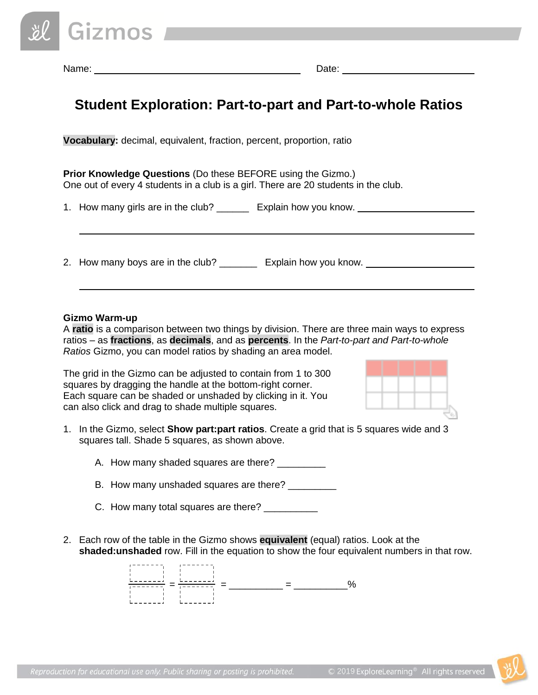

Name: Date:

# **Student Exploration: Part-to-part and Part-to-whole Ratios**

**Vocabulary:** decimal, equivalent, fraction, percent, proportion, ratio

**Prior Knowledge Questions** (Do these BEFORE using the Gizmo.) One out of every 4 students in a club is a girl. There are 20 students in the club.

1. How many girls are in the club? \_\_\_\_\_\_\_ Explain how you know. \_\_\_\_\_\_\_\_\_\_\_\_\_\_\_

| 2. How many boys are in the club? | Explain how you know. |
|-----------------------------------|-----------------------|
|                                   |                       |

#### **Gizmo Warm-up**

A **ratio** is a comparison between two things by division. There are three main ways to express ratios – as **fractions**, as **decimals**, and as **percents**. In the *Part-to-part and Part-to-whole Ratios* Gizmo, you can model ratios by shading an area model.

The grid in the Gizmo can be adjusted to contain from 1 to 300 squares by dragging the handle at the bottom-right corner. Each square can be shaded or unshaded by clicking in it. You can also click and drag to shade multiple squares.

- 1. In the Gizmo, select **Show part:part ratios**. Create a grid that is 5 squares wide and 3 squares tall. Shade 5 squares, as shown above.
	- A. How many shaded squares are there?
	- B. How many unshaded squares are there?
	- C. How many total squares are there?
- 2. Each row of the table in the Gizmo shows **equivalent** (equal) ratios. Look at the **shaded:unshaded** row. Fill in the equation to show the four equivalent numbers in that row.

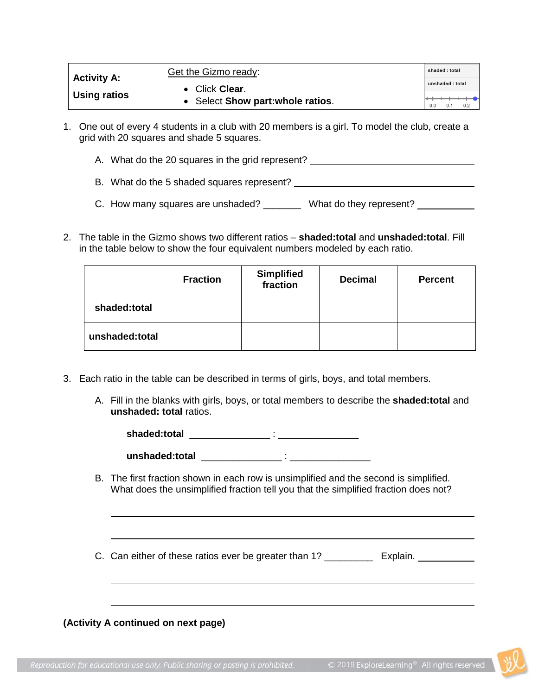| <b>Activity A:</b>  | Get the Gizmo ready:                                | shaded: total                 |
|---------------------|-----------------------------------------------------|-------------------------------|
| <b>Using ratios</b> | • Click Clear.<br>• Select Show part: whole ratios. | unshaded: total<br>0.2<br>0.0 |

- 1. One out of every 4 students in a club with 20 members is a girl. To model the club, create a grid with 20 squares and shade 5 squares.
	- A. What do the 20 squares in the grid represent?
	- B. What do the 5 shaded squares represent?
	- C. How many squares are unshaded? \_\_\_\_\_\_\_ What do they represent?
- 2. The table in the Gizmo shows two different ratios **shaded:total** and **unshaded:total**. Fill in the table below to show the four equivalent numbers modeled by each ratio.

|                | <b>Fraction</b> | <b>Simplified</b><br>fraction | <b>Decimal</b> | <b>Percent</b> |
|----------------|-----------------|-------------------------------|----------------|----------------|
| shaded:total   |                 |                               |                |                |
| unshaded:total |                 |                               |                |                |

- 3. Each ratio in the table can be described in terms of girls, boys, and total members.
	- A. Fill in the blanks with girls, boys, or total members to describe the **shaded:total** and **unshaded: total** ratios.

| shaded:total |  |  |
|--------------|--|--|
|              |  |  |

| unshaded:total |  |
|----------------|--|
|----------------|--|

B. The first fraction shown in each row is unsimplified and the second is simplified. What does the unsimplified fraction tell you that the simplified fraction does not?

C. Can either of these ratios ever be greater than 1? \_\_\_\_\_\_\_\_\_\_\_\_ Explain. \_\_

## **(Activity A continued on next page)**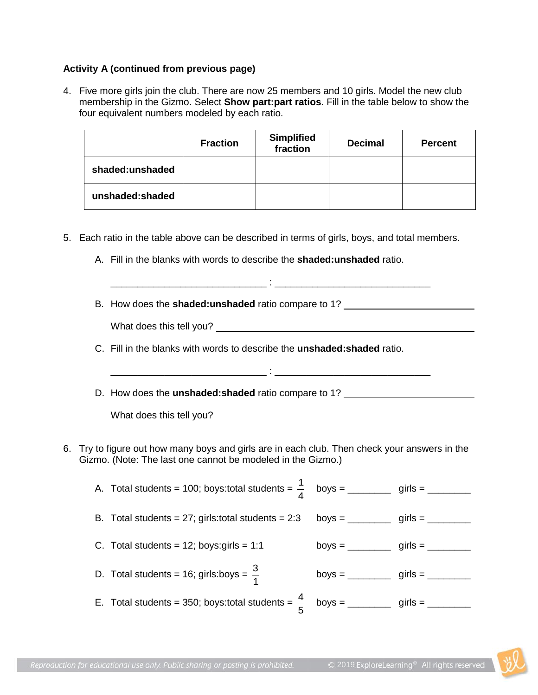#### **Activity A (continued from previous page)**

4. Five more girls join the club. There are now 25 members and 10 girls. Model the new club membership in the Gizmo. Select **Show part:part ratios**. Fill in the table below to show the four equivalent numbers modeled by each ratio.

|                 | <b>Fraction</b> | <b>Simplified</b><br>fraction | <b>Decimal</b> | <b>Percent</b> |
|-----------------|-----------------|-------------------------------|----------------|----------------|
| shaded:unshaded |                 |                               |                |                |
| unshaded:shaded |                 |                               |                |                |

\_\_\_\_\_\_\_\_\_\_\_\_\_\_\_\_\_\_\_\_\_\_\_\_\_\_\_\_\_ : \_\_\_\_\_\_\_\_\_\_\_\_\_\_\_\_\_\_\_\_\_\_\_\_\_\_\_\_\_

\_\_\_\_\_\_\_\_\_\_\_\_\_\_\_\_\_\_\_\_\_\_\_\_\_\_\_\_\_ : \_\_\_\_\_\_\_\_\_\_\_\_\_\_\_\_\_\_\_\_\_\_\_\_\_\_\_\_\_

- 5. Each ratio in the table above can be described in terms of girls, boys, and total members.
	- A. Fill in the blanks with words to describe the **shaded:unshaded** ratio.
	- B. How does the **shaded:unshaded** ratio compare to 1?

What does this tell you?

- C. Fill in the blanks with words to describe the **unshaded:shaded** ratio.
- D. How does the **unshaded:shaded** ratio compare to 1?

What does this tell you?

6. Try to figure out how many boys and girls are in each club. Then check your answers in the Gizmo. (Note: The last one cannot be modeled in the Gizmo.)

| A. Total students = 100; boys:total students = $\frac{1}{4}$ boys = ________ girls = ___   |                                           |  |
|--------------------------------------------------------------------------------------------|-------------------------------------------|--|
| B. Total students = $27$ ; girls: total students = $2:3$                                   | boys = _____________ girls = _____        |  |
| C. Total students = $12$ ; boys: girls = $1:1$                                             | boys = ______________ girls = ___________ |  |
| D. Total students = 16; girls:boys = $\frac{3}{4}$                                         | boys = ______________ girls = ______      |  |
| E. Total students = 350; boys:total students = $\frac{4}{5}$ boys = _______ girls = ______ |                                           |  |

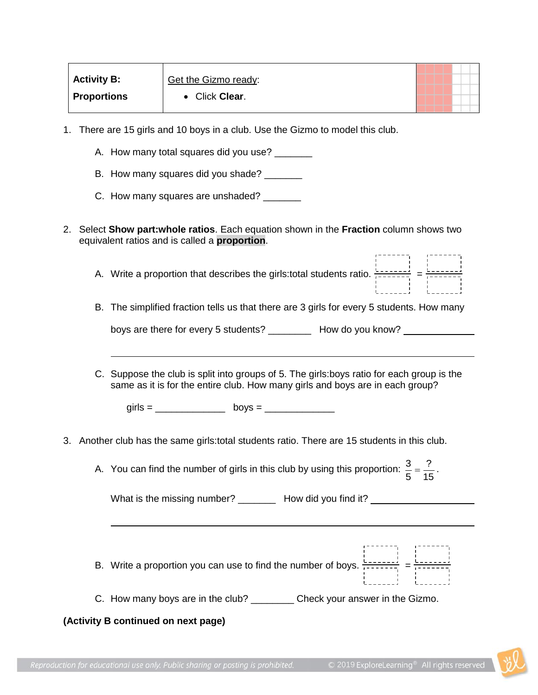| <b>Activity B:</b> | Get the Gizmo ready: |  |  |  |
|--------------------|----------------------|--|--|--|
| <b>Proportions</b> | • Click Clear.       |  |  |  |

- 1. There are 15 girls and 10 boys in a club. Use the Gizmo to model this club.
	- A. How many total squares did you use?
	- B. How many squares did you shade?
	- C. How many squares are unshaded?
- 2. Select **Show part:whole ratios**. Each equation shown in the **Fraction** column shows two equivalent ratios and is called a **proportion**.
	- A. Write a proportion that describes the girls: total students ratio.  $\frac{1}{1}$
	- B. The simplified fraction tells us that there are 3 girls for every 5 students. How many

| boys are there for every 5 students? | How do you know? |
|--------------------------------------|------------------|
|                                      |                  |

C. Suppose the club is split into groups of 5. The girls:boys ratio for each group is the same as it is for the entire club. How many girls and boys are in each group?

 $qirls =$  boys =

- 3. Another club has the same girls:total students ratio. There are 15 students in this club.
	- A. You can find the number of girls in this club by using this proportion: 15 ? 5  $\frac{3}{2} = \frac{?}{!}$ .

What is the missing number? \_\_\_\_\_\_\_\_\_ How did you find it? \_\_\_\_\_\_

- B. Write a proportion you can use to find the number of boys.  $\frac{1}{1}$
- C. How many boys are in the club? Check your answer in the Gizmo.

## **(Activity B continued on next page)**